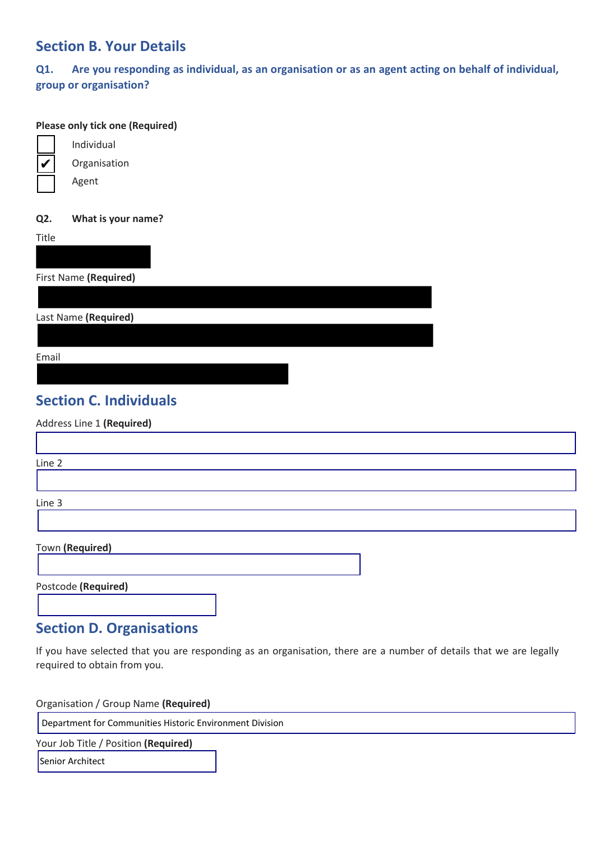### **Section B. Your Details**

**Q1. Are you responding as individual, as an organisation or as an agent acting on behalf of individual, group or organisation?** 

#### **Please only tick one (Required)**



Organisation

Individual

Agent

#### **Q2. What is your name?**

**Title** 

First Name **(Required)**

Last Name **(Required)**

Email

г

# **Section C. Individuals**

Address Line 1 **(Required)**

| Line 2          |  |  |  |
|-----------------|--|--|--|
|                 |  |  |  |
| Line 3          |  |  |  |
|                 |  |  |  |
| Town (Required) |  |  |  |

Postcode **(Required)** 

### **Section D. Organisations**

If you have selected that you are responding as an organisation, there are a number of details that we are legally required to obtain from you.

Organisation / Group Name **(Required)**

Department for Communities Historic Environment Division

Your Job Title / Position **(Required)**

**Senior Architect**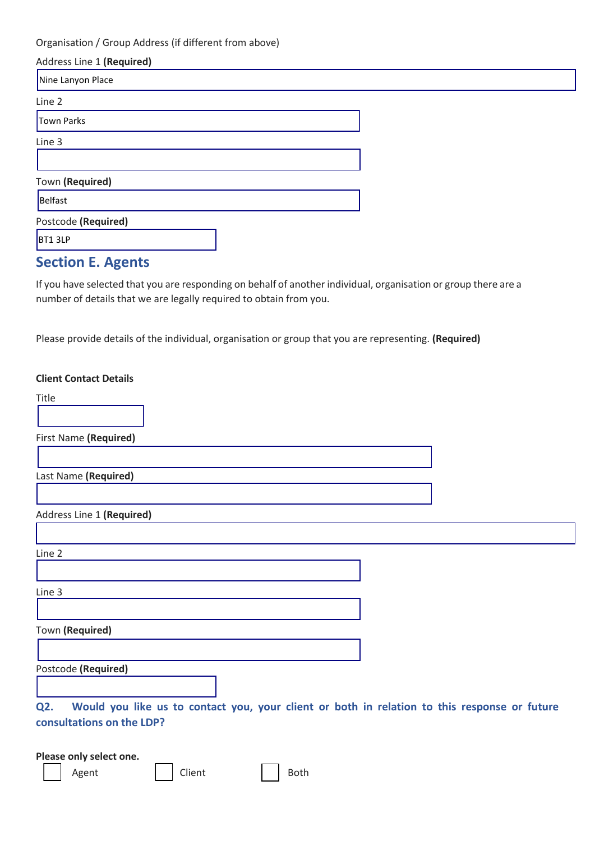Organisation / Group Address (if different from above)

| Address Line 1 (Required) |  |
|---------------------------|--|
| Nine Lanyon Place         |  |
| Line 2                    |  |
| Town Parks                |  |
| Line 3                    |  |
|                           |  |
| Town (Required)           |  |
| Belfast                   |  |
| Postcode (Required)       |  |
| BT1 3LP                   |  |
| <b>Section E. Agents</b>  |  |

If you have selected that you are responding on behalf of another individual, organisation or group there are a number of details that we are legally required to obtain from you.

Please provide details of the individual, organisation or group that you are representing. **(Required)**

| <b>Client Contact Details</b>                                                                       |  |
|-----------------------------------------------------------------------------------------------------|--|
| Title                                                                                               |  |
| First Name (Required)                                                                               |  |
| Last Name (Required)                                                                                |  |
|                                                                                                     |  |
| Address Line 1 (Required)                                                                           |  |
|                                                                                                     |  |
| Line 2                                                                                              |  |
|                                                                                                     |  |
| Line 3                                                                                              |  |
|                                                                                                     |  |
| Town (Required)                                                                                     |  |
|                                                                                                     |  |
| Postcode (Required)                                                                                 |  |
|                                                                                                     |  |
| Would you like us to contact you, your client or both in relation to this response or future<br>Q2. |  |
| consultations on the LDP?                                                                           |  |
|                                                                                                     |  |

**Please only select one.**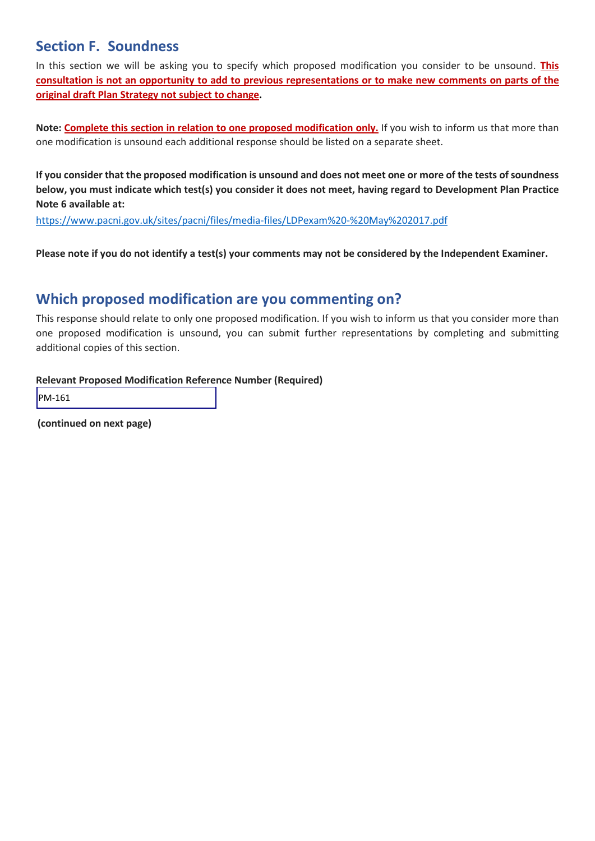## **Section F. Soundness**

In this section we will be asking you to specify which proposed modification you consider to be unsound. **This consultation is not an opportunity to add to previous representations or to make new comments on parts of the original draft Plan Strategy not subject to change.**

**Note: Complete this section in relation to one proposed modification only.** If you wish to inform us that more than one modification is unsound each additional response should be listed on a separate sheet.

**If you consider that the proposed modification is unsound and does not meet one or more of the tests of soundness below, you must indicate which test(s) you consider it does not meet, having regard to Development Plan Practice Note 6 available at:**

https://www.pacni.gov.uk/sites/pacni/files/media-files/LDPexam%20-%20May%202017.pdf

**Please note if you do not identify a test(s) your comments may not be considered by the Independent Examiner.**

# **Which proposed modification are you commenting on?**

This response should relate to only one proposed modification. If you wish to inform us that you consider more than one proposed modification is unsound, you can submit further representations by completing and submitting additional copies of this section.

#### **Relevant Proposed Modification Reference Number (Required)**

PM-161

**(continued on next page)**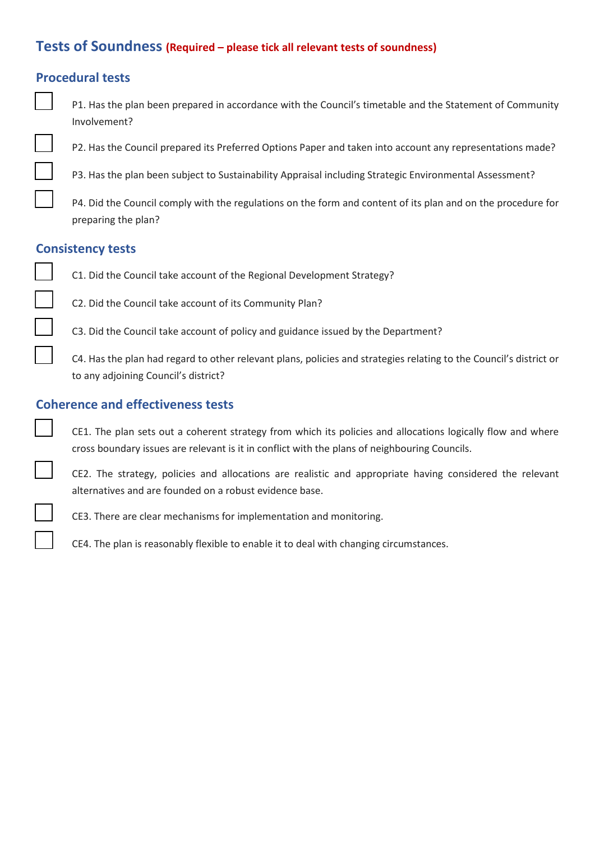### **Tests of Soundness (Required – please tick all relevant tests of soundness)**

### **Procedural tests**

- P1. Has the plan been prepared in accordance with the Council's timetable and the Statement of Community Involvement?
- P2. Has the Council prepared its Preferred Options Paper and taken into account any representations made?
- P3. Has the plan been subject to Sustainability Appraisal including Strategic Environmental Assessment?
- P4. Did the Council comply with the regulations on the form and content of its plan and on the procedure for preparing the plan?

#### **Consistency tests**

- C1. Did the Council take account of the Regional Development Strategy?
- C2. Did the Council take account of its Community Plan?
- C3. Did the Council take account of policy and guidance issued by the Department?

 C4. Has the plan had regard to other relevant plans, policies and strategies relating to the Council's district or to any adjoining Council's district?

#### **Coherence and effectiveness tests**

CE1. The plan sets out a coherent strategy from which its policies and allocations logically flow and where cross boundary issues are relevant is it in conflict with the plans of neighbouring Councils.

CE2. The strategy, policies and allocations are realistic and appropriate having considered the relevant alternatives and are founded on a robust evidence base.

CE3. There are clear mechanisms for implementation and monitoring.

CE4. The plan is reasonably flexible to enable it to deal with changing circumstances.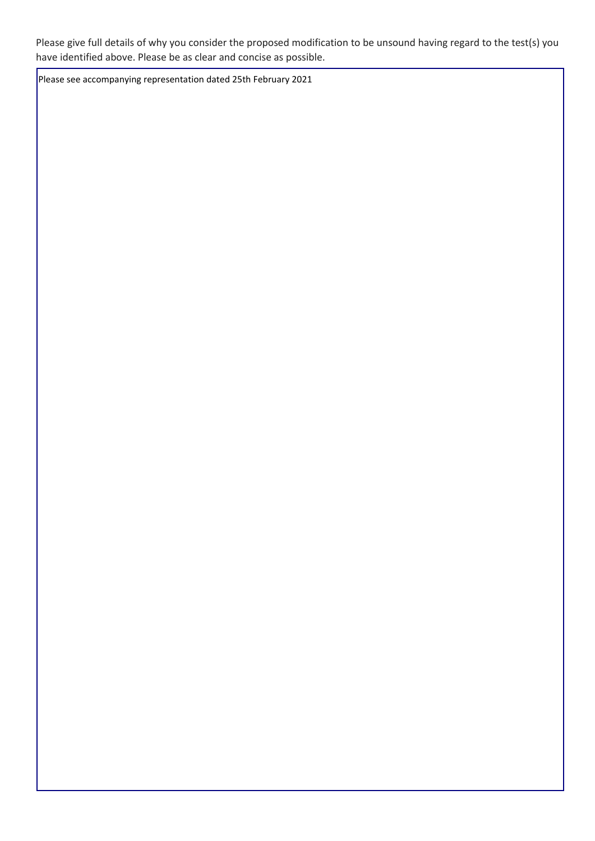Please give full details of why you consider the proposed modification to be unsound having regard to the test(s) you have identified above. Please be as clear and concise as possible.

Please see accompanying representation dated 25th February 2021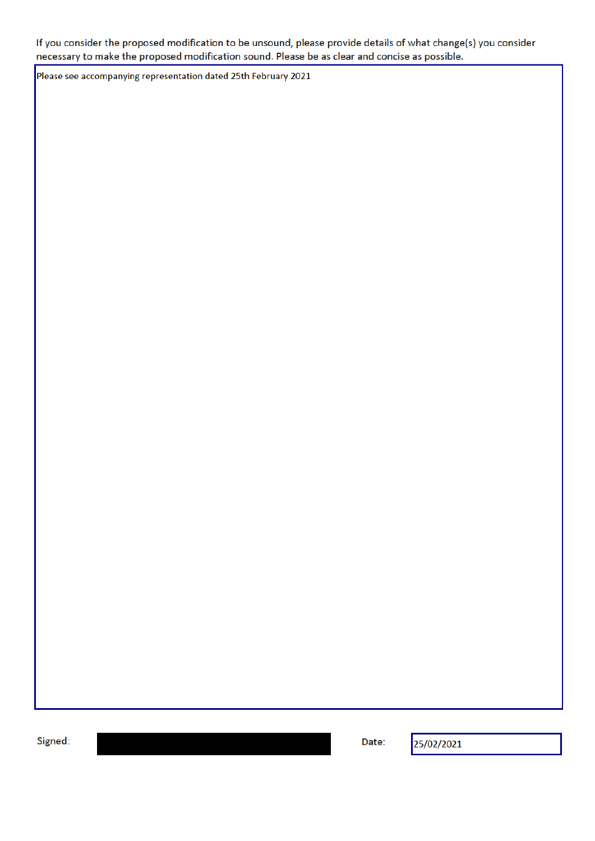If you consider the proposed modification to be unsound, please provide details of what change(s) you consider necessary to make the proposed modification sound. Please be as clear and concise as possible.

Please see accompanying representation dated 25th February 2021

Signed:

Date:

25/02/2021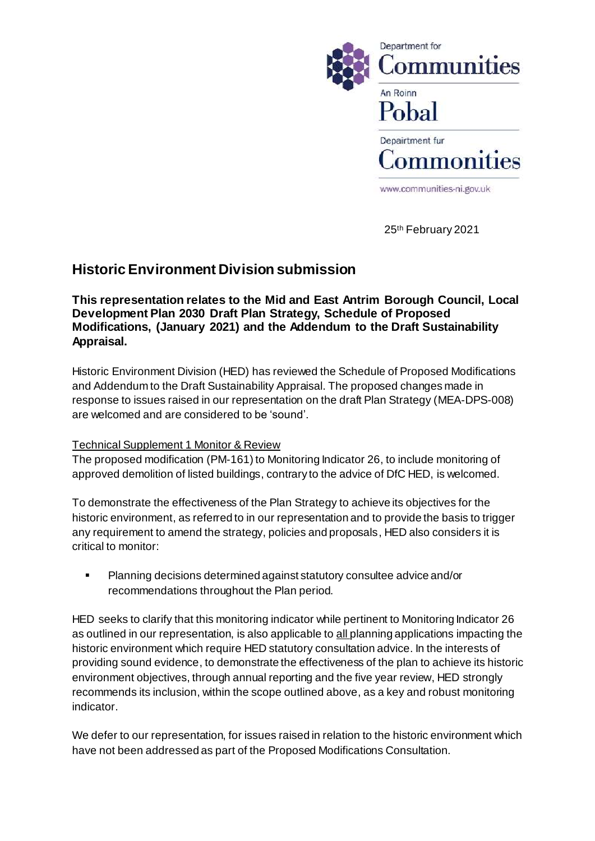

25th February 2021

### **Historic Environment Division submission**

**This representation relates to the Mid and East Antrim Borough Council, Local Development Plan 2030 Draft Plan Strategy, Schedule of Proposed Modifications, (January 2021) and the Addendum to the Draft Sustainability Appraisal.** 

Historic Environment Division (HED) has reviewed the Schedule of Proposed Modifications and Addendum to the Draft Sustainability Appraisal. The proposed changes made in response to issues raised in our representation on the draft Plan Strategy (MEA-DPS-008) are welcomed and are considered to be 'sound'.

### Technical Supplement 1 Monitor & Review

The proposed modification (PM-161) to Monitoring Indicator 26, to include monitoring of approved demolition of listed buildings, contrary to the advice of DfC HED, is welcomed.

To demonstrate the effectiveness of the Plan Strategy to achieve its objectives for the historic environment, as referred to in our representation and to provide the basis to trigger any requirement to amend the strategy, policies and proposals, HED also considers it is critical to monitor:

 Planning decisions determined against statutory consultee advice and/or recommendations throughout the Plan period.

HED seeks to clarify that this monitoring indicator while pertinent to Monitoring Indicator 26 as outlined in our representation, is also applicable to all planning applications impacting the historic environment which require HED statutory consultation advice. In the interests of providing sound evidence, to demonstrate the effectiveness of the plan to achieve its historic environment objectives, through annual reporting and the five year review, HED strongly recommends its inclusion, within the scope outlined above, as a key and robust monitoring indicator.

We defer to our representation, for issues raised in relation to the historic environment which have not been addressed as part of the Proposed Modifications Consultation.